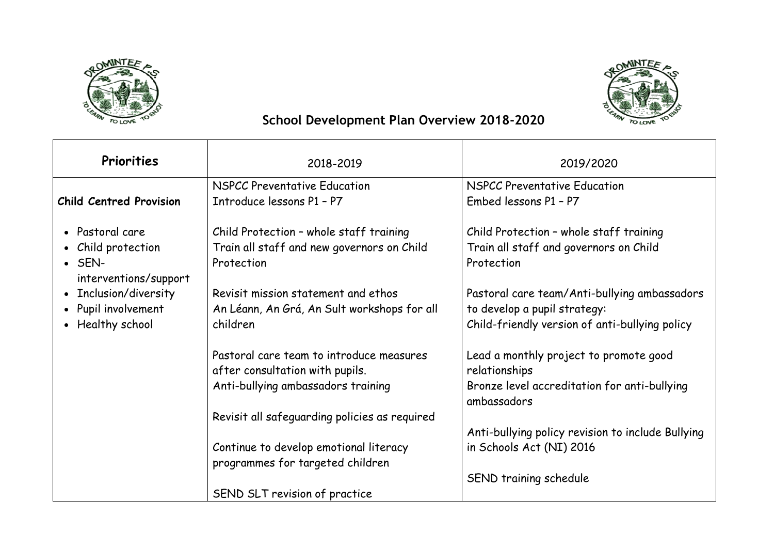



## **School Development Plan Overview 2018-2020**

| Priorities                                                                     | 2018-2019                                                                                                         | 2019/2020                                                                                                                      |
|--------------------------------------------------------------------------------|-------------------------------------------------------------------------------------------------------------------|--------------------------------------------------------------------------------------------------------------------------------|
| <b>Child Centred Provision</b>                                                 | <b>NSPCC Preventative Education</b><br>Introduce lessons P1 - P7                                                  | <b>NSPCC Preventative Education</b><br>Embed lessons P1 - P7                                                                   |
| • Pastoral care<br>• Child protection<br>$\cdot$ SEN-<br>interventions/support | Child Protection - whole staff training<br>Train all staff and new governors on Child<br>Protection               | Child Protection - whole staff training<br>Train all staff and governors on Child<br>Protection                                |
| • Inclusion/diversity<br>• Pupil involvement<br>• Healthy school               | Revisit mission statement and ethos<br>An Léann, An Grá, An Sult workshops for all<br>children                    | Pastoral care team/Anti-bullying ambassadors<br>to develop a pupil strategy:<br>Child-friendly version of anti-bullying policy |
|                                                                                | Pastoral care team to introduce measures<br>after consultation with pupils.<br>Anti-bullying ambassadors training | Lead a monthly project to promote good<br>relationships<br>Bronze level accreditation for anti-bullying<br>ambassadors         |
|                                                                                | Revisit all safeguarding policies as required                                                                     | Anti-bullying policy revision to include Bullying                                                                              |
|                                                                                | Continue to develop emotional literacy<br>programmes for targeted children                                        | in Schools Act (NI) 2016                                                                                                       |
|                                                                                | SEND SLT revision of practice                                                                                     | SEND training schedule                                                                                                         |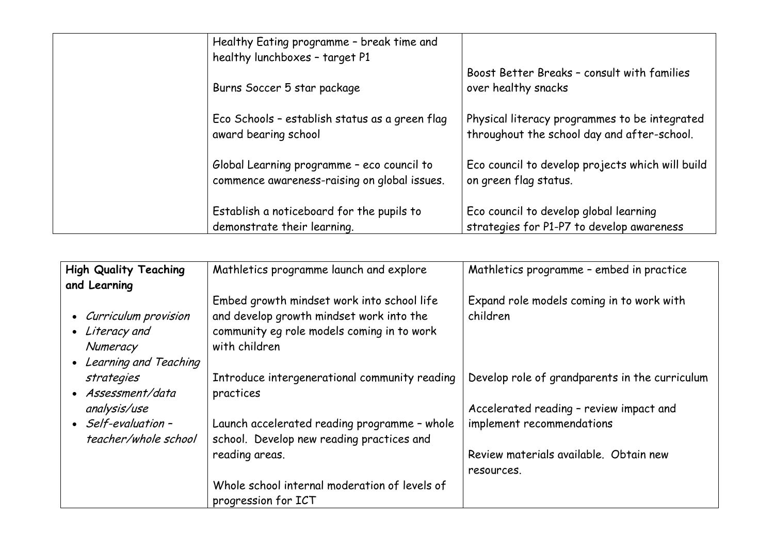| Healthy Eating programme - break time and<br>healthy lunchboxes - target P1                |                                                                                              |
|--------------------------------------------------------------------------------------------|----------------------------------------------------------------------------------------------|
| Burns Soccer 5 star package                                                                | Boost Better Breaks - consult with families<br>over healthy snacks                           |
| Eco Schools - establish status as a green flag<br>award bearing school                     | Physical literacy programmes to be integrated<br>throughout the school day and after-school. |
| Global Learning programme - eco council to<br>commence awareness-raising on global issues. | Eco council to develop projects which will build<br>on green flag status.                    |
| Establish a noticeboard for the pupils to<br>demonstrate their learning.                   | Eco council to develop global learning<br>strategies for P1-P7 to develop awareness          |

| <b>High Quality Teaching</b><br>and Learning                                | Mathletics programme launch and explore                                                                                                               | Mathletics programme - embed in practice              |
|-----------------------------------------------------------------------------|-------------------------------------------------------------------------------------------------------------------------------------------------------|-------------------------------------------------------|
| Curriculum provision<br>• Literacy and<br>Numeracy<br>Learning and Teaching | Embed growth mindset work into school life<br>and develop growth mindset work into the<br>community eq role models coming in to work<br>with children | Expand role models coming in to work with<br>children |
| strategies<br>Assessment/data                                               | Introduce intergenerational community reading<br>practices                                                                                            | Develop role of grandparents in the curriculum        |
| analysis/use                                                                |                                                                                                                                                       | Accelerated reading - review impact and               |
| • Self-evaluation -<br>teacher/whole school                                 | Launch accelerated reading programme - whole<br>school. Develop new reading practices and                                                             | implement recommendations                             |
|                                                                             | reading areas.                                                                                                                                        | Review materials available. Obtain new<br>resources.  |
|                                                                             | Whole school internal moderation of levels of<br>progression for ICT                                                                                  |                                                       |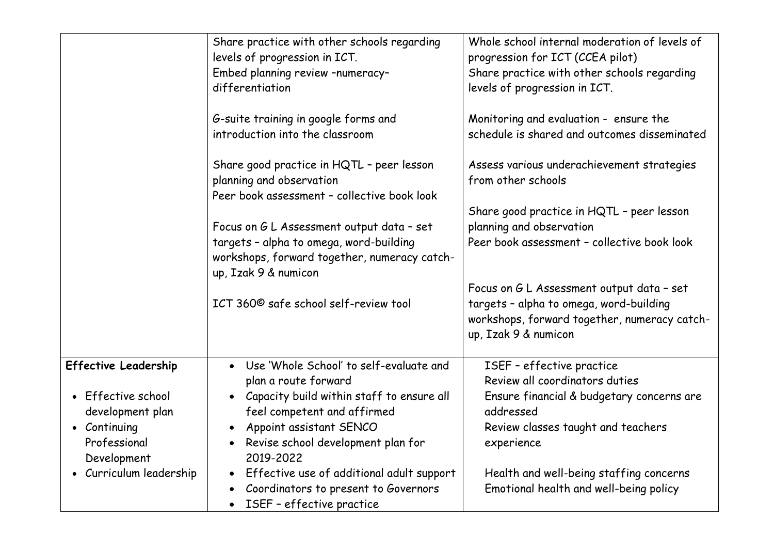|                                                                 | Share practice with other schools regarding<br>levels of progression in ICT.                                                | Whole school internal moderation of levels of<br>progression for ICT (CCEA pilot)                                                                            |
|-----------------------------------------------------------------|-----------------------------------------------------------------------------------------------------------------------------|--------------------------------------------------------------------------------------------------------------------------------------------------------------|
|                                                                 | Embed planning review -numeracy-<br>differentiation                                                                         | Share practice with other schools regarding<br>levels of progression in ICT.                                                                                 |
|                                                                 | G-suite training in google forms and<br>introduction into the classroom                                                     | Monitoring and evaluation - ensure the<br>schedule is shared and outcomes disseminated                                                                       |
|                                                                 | Share good practice in HQTL - peer lesson<br>planning and observation<br>Peer book assessment - collective book look        | Assess various underachievement strategies<br>from other schools                                                                                             |
|                                                                 | Focus on G L Assessment output data - set                                                                                   | Share good practice in HQTL - peer lesson<br>planning and observation                                                                                        |
|                                                                 | targets - alpha to omega, word-building<br>workshops, forward together, numeracy catch-                                     | Peer book assessment - collective book look                                                                                                                  |
|                                                                 | up, Izak 9 & numicon<br>ICT 360 <sup>©</sup> safe school self-review tool                                                   | Focus on G L Assessment output data - set<br>targets - alpha to omega, word-building<br>workshops, forward together, numeracy catch-<br>up, Izak 9 & numicon |
| <b>Effective Leadership</b><br>Effective school                 | Use 'Whole School' to self-evaluate and<br>$\bullet$<br>plan a route forward<br>Capacity build within staff to ensure all   | ISEF - effective practice<br>Review all coordinators duties<br>Ensure financial & budgetary concerns are                                                     |
| development plan<br>• Continuing<br>Professional<br>Development | feel competent and affirmed<br>Appoint assistant SENCO<br>Revise school development plan for<br>$\bullet$<br>2019-2022      | addressed<br>Review classes taught and teachers<br>experience                                                                                                |
| Curriculum leadership                                           | Effective use of additional adult support<br>Coordinators to present to Governors<br>ISEF - effective practice<br>$\bullet$ | Health and well-being staffing concerns<br>Emotional health and well-being policy                                                                            |